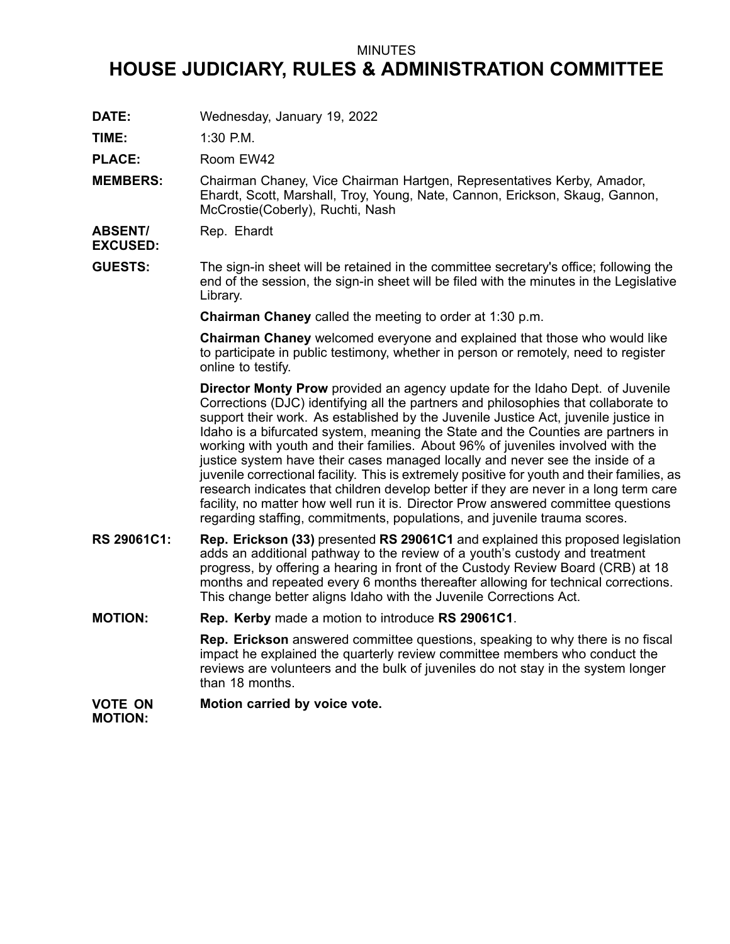## MINUTES

# **HOUSE JUDICIARY, RULES & ADMINISTRATION COMMITTEE**

**DATE:** Wednesday, January 19, 2022

**TIME:** 1:30 P.M.

PLACE: Room EW42

**MEMBERS:** Chairman Chaney, Vice Chairman Hartgen, Representatives Kerby, Amador, Ehardt, Scott, Marshall, Troy, Young, Nate, Cannon, Erickson, Skaug, Gannon, McCrostie(Coberly), Ruchti, Nash

**ABSENT/** Rep. Ehardt

**EXCUSED: GUESTS:** The sign-in sheet will be retained in the committee secretary's office; following the

end of the session, the sign-in sheet will be filed with the minutes in the Legislative Library.

**Chairman Chaney** called the meeting to order at 1:30 p.m.

**Chairman Chaney** welcomed everyone and explained that those who would like to participate in public testimony, whether in person or remotely, need to register online to testify.

**Director Monty Prow** provided an agency update for the Idaho Dept. of Juvenile Corrections (DJC) identifying all the partners and philosophies that collaborate to support their work. As established by the Juvenile Justice Act, juvenile justice in Idaho is <sup>a</sup> bifurcated system, meaning the State and the Counties are partners in working with youth and their families. About 96% of juveniles involved with the justice system have their cases managed locally and never see the inside of <sup>a</sup> juvenile correctional facility. This is extremely positive for youth and their families, as research indicates that children develop better if they are never in <sup>a</sup> long term care facility, no matter how well run it is. Director Prow answered committee questions regarding staffing, commitments, populations, and juvenile trauma scores.

- **RS 29061C1: Rep. Erickson (33)** presented **RS 29061C1** and explained this proposed legislation adds an additional pathway to the review of <sup>a</sup> youth's custody and treatment progress, by offering <sup>a</sup> hearing in front of the Custody Review Board (CRB) at 18 months and repeated every 6 months thereafter allowing for technical corrections. This change better aligns Idaho with the Juvenile Corrections Act.
- **MOTION: Rep. Kerby** made <sup>a</sup> motion to introduce **RS 29061C1**.

**Rep. Erickson** answered committee questions, speaking to why there is no fiscal impact he explained the quarterly review committee members who conduct the reviews are volunteers and the bulk of juveniles do not stay in the system longer than 18 months.

#### **VOTE ON MOTION: Motion carried by voice vote.**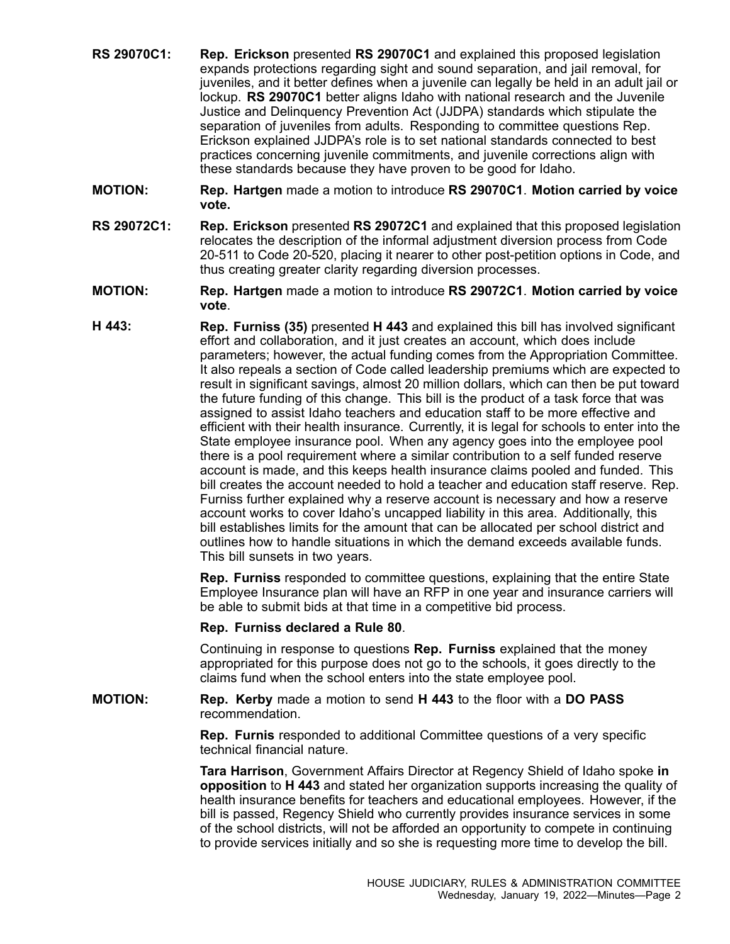- **RS 29070C1: Rep. Erickson** presented **RS 29070C1** and explained this proposed legislation expands protections regarding sight and sound separation, and jail removal, for juveniles, and it better defines when <sup>a</sup> juvenile can legally be held in an adult jail or lockup. **RS 29070C1** better aligns Idaho with national research and the Juvenile Justice and Delinquency Prevention Act (JJDPA) standards which stipulate the separation of juveniles from adults. Responding to committee questions Rep. Erickson explained JJDPA's role is to set national standards connected to best practices concerning juvenile commitments, and juvenile corrections align with these standards because they have proven to be good for Idaho.
- **MOTION: Rep. Hartgen** made <sup>a</sup> motion to introduce **RS 29070C1**. **Motion carried by voice vote.**
- **RS 29072C1: Rep. Erickson** presented **RS 29072C1** and explained that this proposed legislation relocates the description of the informal adjustment diversion process from Code 20-511 to Code 20-520, placing it nearer to other post-petition options in Code, and thus creating greater clarity regarding diversion processes.
- **MOTION: Rep. Hartgen** made <sup>a</sup> motion to introduce **RS 29072C1**. **Motion carried by voice vote**.
- **H 443: Rep. Furniss (35)** presented **H 443** and explained this bill has involved significant effort and collaboration, and it just creates an account, which does include parameters; however, the actual funding comes from the Appropriation Committee. It also repeals <sup>a</sup> section of Code called leadership premiums which are expected to result in significant savings, almost 20 million dollars, which can then be put toward the future funding of this change. This bill is the product of <sup>a</sup> task force that was assigned to assist Idaho teachers and education staff to be more effective and efficient with their health insurance. Currently, it is legal for schools to enter into the State employee insurance pool. When any agency goes into the employee pool there is <sup>a</sup> pool requirement where <sup>a</sup> similar contribution to <sup>a</sup> self funded reserve account is made, and this keeps health insurance claims pooled and funded. This bill creates the account needed to hold <sup>a</sup> teacher and education staff reserve. Rep. Furniss further explained why <sup>a</sup> reserve account is necessary and how <sup>a</sup> reserve account works to cover Idaho's uncapped liability in this area. Additionally, this bill establishes limits for the amount that can be allocated per school district and outlines how to handle situations in which the demand exceeds available funds. This bill sunsets in two years.

**Rep. Furniss** responded to committee questions, explaining that the entire State Employee Insurance plan will have an RFP in one year and insurance carriers will be able to submit bids at that time in <sup>a</sup> competitive bid process.

### **Rep. Furniss declared <sup>a</sup> Rule 80**.

Continuing in response to questions **Rep. Furniss** explained that the money appropriated for this purpose does not go to the schools, it goes directly to the claims fund when the school enters into the state employee pool.

## **MOTION: Rep. Kerby** made <sup>a</sup> motion to send **H 443** to the floor with <sup>a</sup> **DO PASS** recommendation.

**Rep. Furnis** responded to additional Committee questions of <sup>a</sup> very specific technical financial nature.

**Tara Harrison**, Government Affairs Director at Regency Shield of Idaho spoke **in opposition** to **H 443** and stated her organization supports increasing the quality of health insurance benefits for teachers and educational employees. However, if the bill is passed, Regency Shield who currently provides insurance services in some of the school districts, will not be afforded an opportunity to compete in continuing to provide services initially and so she is requesting more time to develop the bill.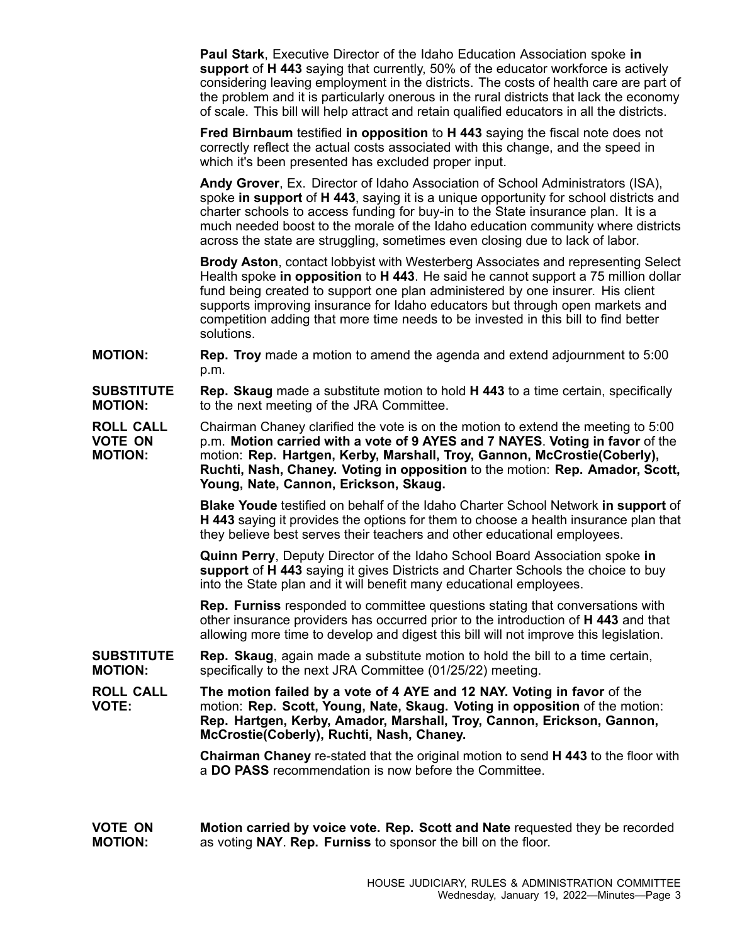**Paul Stark**, Executive Director of the Idaho Education Association spoke **in support** of **H 443** saying that currently, 50% of the educator workforce is actively considering leaving employment in the districts. The costs of health care are part of the problem and it is particularly onerous in the rural districts that lack the economy of scale. This bill will help attract and retain qualified educators in all the districts.

**Fred Birnbaum** testified **in opposition** to **H 443** saying the fiscal note does not correctly reflect the actual costs associated with this change, and the speed in which it's been presented has excluded proper input.

**Andy Grover**, Ex. Director of Idaho Association of School Administrators (ISA), spoke **in support** of **H 443**, saying it is <sup>a</sup> unique opportunity for school districts and charter schools to access funding for buy-in to the State insurance plan. It is <sup>a</sup> much needed boost to the morale of the Idaho education community where districts across the state are struggling, sometimes even closing due to lack of labor.

**Brody Aston**, contact lobbyist with Westerberg Associates and representing Select Health spoke **in opposition** to **H 443**. He said he cannot support <sup>a</sup> 75 million dollar fund being created to support one plan administered by one insurer. His client supports improving insurance for Idaho educators but through open markets and competition adding that more time needs to be invested in this bill to find better solutions.

- **MOTION: Rep. Troy** made <sup>a</sup> motion to amend the agenda and extend adjournment to 5:00 p.m.
- **SUBSTITUTE MOTION: Rep. Skaug** made <sup>a</sup> substitute motion to hold **H 443** to <sup>a</sup> time certain, specifically to the next meeting of the JRA Committee.

**ROLL CALL VOTE ON MOTION:** Chairman Chaney clarified the vote is on the motion to extend the meeting to 5:00 p.m. **Motion carried with <sup>a</sup> vote of 9 AYES and 7 NAYES**. **Voting in favor** of the motion: **Rep. Hartgen, Kerby, Marshall, Troy, Gannon, McCrostie(Coberly), Ruchti, Nash, Chaney. Voting in opposition** to the motion: **Rep. Amador, Scott, Young, Nate, Cannon, Erickson, Skaug.**

> **Blake Youde** testified on behalf of the Idaho Charter School Network **in support** of **H 443** saying it provides the options for them to choose <sup>a</sup> health insurance plan that they believe best serves their teachers and other educational employees.

**Quinn Perry**, Deputy Director of the Idaho School Board Association spoke **in support** of **H 443** saying it gives Districts and Charter Schools the choice to buy into the State plan and it will benefit many educational employees.

**Rep. Furniss** responded to committee questions stating that conversations with other insurance providers has occurred prior to the introduction of **H 443** and that allowing more time to develop and digest this bill will not improve this legislation.

**SUBSTITUTE MOTION: Rep. Skaug**, again made <sup>a</sup> substitute motion to hold the bill to <sup>a</sup> time certain, specifically to the next JRA Committee (01/25/22) meeting.

**ROLL CALL VOTE: The motion failed by <sup>a</sup> vote of 4 AYE and 12 NAY. Voting in favor** of the motion: **Rep. Scott, Young, Nate, Skaug. Voting in opposition** of the motion: **Rep. Hartgen, Kerby, Amador, Marshall, Troy, Cannon, Erickson, Gannon, McCrostie(Coberly), Ruchti, Nash, Chaney.**

> **Chairman Chaney** re-stated that the original motion to send **H 443** to the floor with a **DO PASS** recommendation is now before the Committee.

**VOTE ON MOTION: Motion carried by voice vote. Rep. Scott and Nate** requested they be recorded as voting **NAY**. **Rep. Furniss** to sponsor the bill on the floor.